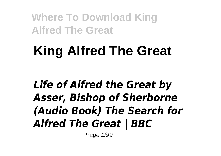# **King Alfred The Great**

## *Life of Alfred the Great by Asser, Bishop of Sherborne (Audio Book) The Search for Alfred The Great | BBC*

Page 1/99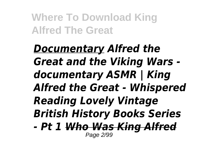*Documentary Alfred the Great and the Viking Wars documentary ASMR | King Alfred the Great - Whispered Reading Lovely Vintage British History Books Series - Pt 1 Who Was King Alfred* Page 2/99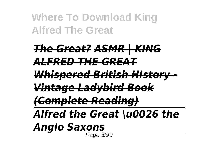# *The Great? ASMR | KING ALFRED THE GREAT*

*Whispered British HIstory -*

*Vintage Ladybird Book*

*(Complete Reading)*

*Alfred the Great \u0026 the*

*Anglo Saxons*

Page 3/99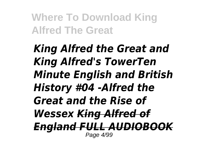*King Alfred the Great and King Alfred's TowerTen Minute English and British History #04 -Alfred the Great and the Rise of Wessex King Alfred of England FULL AUDIOBOOK* Page 4/99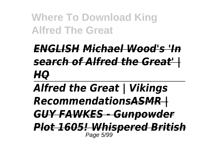*ENGLISH Michael Wood's 'In search of Alfred the Great' | HQ*

*Alfred the Great | Vikings RecommendationsASMR | GUY FAWKES - Gunpowder Plot 1605! Whispered British* Page 5/99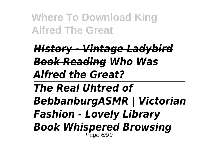*HIstory - Vintage Ladybird Book Reading Who Was Alfred the Great? The Real Uhtred of BebbanburgASMR | Victorian Fashion - Lovely Library Book Whispered Browsing* Page 6/99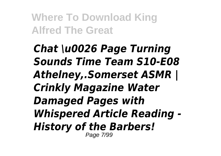*Chat \u0026 Page Turning Sounds Time Team S10-E08 Athelney,.Somerset ASMR | Crinkly Magazine Water Damaged Pages with Whispered Article Reading - History of the Barbers!* Page 7/99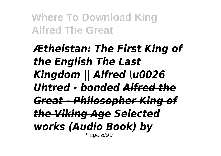*Æthelstan: The First King of the English The Last Kingdom || Alfred \u0026 Uhtred - bonded Alfred the Great - Philosopher King of the Viking Age Selected works (Audio Book) by* Page 8/99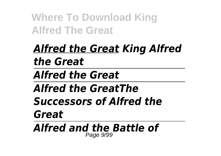## *Alfred the Great King Alfred the Great*

*Alfred the Great*

## *Alfred the GreatThe*

*Successors of Alfred the Great*

*Alfred and the Battle of* Page 9/99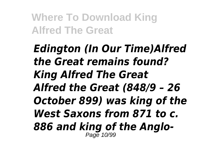*Edington (In Our Time)Alfred the Great remains found? King Alfred The Great Alfred the Great (848/9 – 26 October 899) was king of the West Saxons from 871 to c. 886 and king of the Anglo-*Page 10/99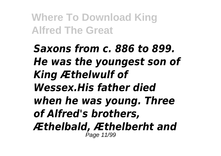*Saxons from c. 886 to 899. He was the youngest son of King Æthelwulf of Wessex.His father died when he was young. Three of Alfred's brothers, Æthelbald, Æthelberht and* Page 11/99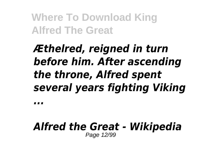## *Æthelred, reigned in turn before him. After ascending the throne, Alfred spent several years fighting Viking*

*...*

#### *Alfred the Great - Wikipedia* Page 12/99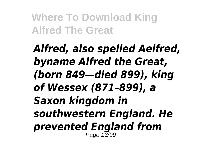*Alfred, also spelled Aelfred, byname Alfred the Great, (born 849—died 899), king of Wessex (871–899), a Saxon kingdom in southwestern England. He prevented England from* Page 13/99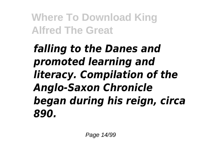*falling to the Danes and promoted learning and literacy. Compilation of the Anglo-Saxon Chronicle began during his reign, circa 890.*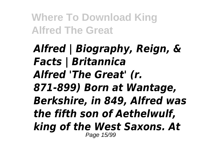### *Alfred | Biography, Reign, & Facts | Britannica Alfred 'The Great' (r. 871-899) Born at Wantage, Berkshire, in 849, Alfred was the fifth son of Aethelwulf, king of the West Saxons. At* Page 15/99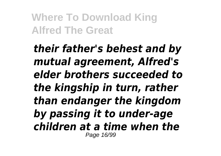*their father's behest and by mutual agreement, Alfred's elder brothers succeeded to the kingship in turn, rather than endanger the kingdom by passing it to under-age children at a time when the* Page 16/99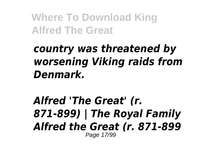## *country was threatened by worsening Viking raids from Denmark.*

### *Alfred 'The Great' (r. 871-899) | The Royal Family Alfred the Great (r. 871-899* Page 17/99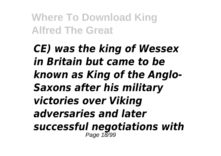*CE) was the king of Wessex in Britain but came to be known as King of the Anglo-Saxons after his military victories over Viking adversaries and later successful negotiations with* Page 18/99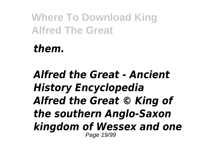*them.*

### *Alfred the Great - Ancient History Encyclopedia Alfred the Great © King of the southern Anglo-Saxon kingdom of Wessex and one* Page 19/99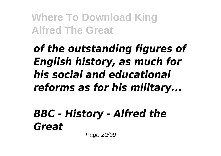*of the outstanding figures of English history, as much for his social and educational reforms as for his military...*

*BBC - History - Alfred the Great*

Page 20/99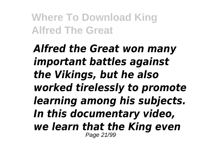*Alfred the Great won many important battles against the Vikings, but he also worked tirelessly to promote learning among his subjects. In this documentary video, we learn that the King even* Page 21/99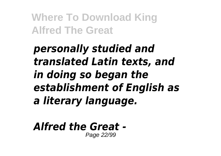## *personally studied and translated Latin texts, and in doing so began the establishment of English as a literary language.*

#### *Alfred the Great -* Page 22/99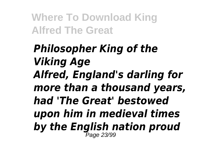### *Philosopher King of the Viking Age Alfred, England's darling for more than a thousand years, had 'The Great' bestowed upon him in medieval times by the English nation proud* Page 23/99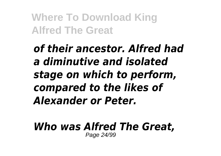*of their ancestor. Alfred had a diminutive and isolated stage on which to perform, compared to the likes of Alexander or Peter.*

*Who was Alfred The Great,* Page 24/99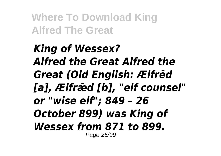*King of Wessex? Alfred the Great Alfred the Great (Old English: Ælfrēd [a], Ælfrǣd [b], "elf counsel" or "wise elf"; 849 – 26 October 899) was King of Wessex from 871 to 899.* Page 25/99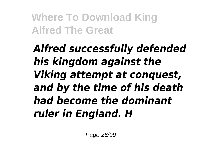## *Alfred successfully defended his kingdom against the Viking attempt at conquest, and by the time of his death had become the dominant ruler in England. H*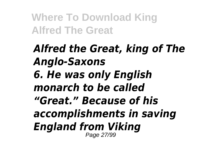### *Alfred the Great, king of The Anglo-Saxons 6. He was only English monarch to be called "Great." Because of his accomplishments in saving England from Viking* Page 27/99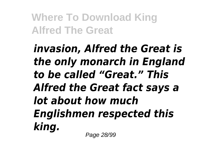*invasion, Alfred the Great is the only monarch in England to be called "Great." This Alfred the Great fact says a lot about how much Englishmen respected this king.* Page 28/99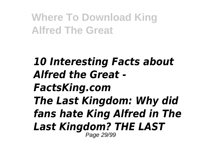*10 Interesting Facts about Alfred the Great - FactsKing.com The Last Kingdom: Why did fans hate King Alfred in The Last Kingdom? THE LAST* Page 29/99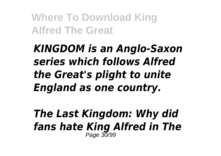## *KINGDOM is an Anglo-Saxon series which follows Alfred the Great's plight to unite England as one country.*

#### *The Last Kingdom: Why did fans hate King Alfred in The* Page 30/99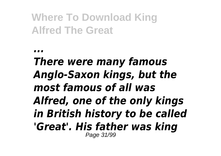*...*

### *There were many famous Anglo-Saxon kings, but the most famous of all was Alfred, one of the only kings in British history to be called 'Great'. His father was king* Page 31/99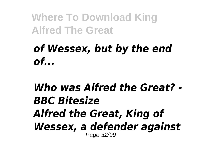### *of Wessex, but by the end of...*

### *Who was Alfred the Great? - BBC Bitesize Alfred the Great, King of Wessex, a defender against* Page 32/99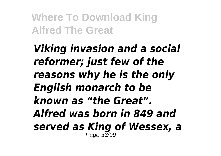*Viking invasion and a social reformer; just few of the reasons why he is the only English monarch to be known as "the Great". Alfred was born in 849 and served as King of Wessex, a* Page 33/99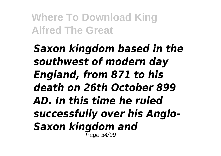*Saxon kingdom based in the southwest of modern day England, from 871 to his death on 26th October 899 AD. In this time he ruled successfully over his Anglo-Saxon kingdom and* Page 34/99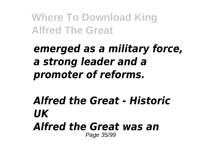## *emerged as a military force, a strong leader and a promoter of reforms.*

### *Alfred the Great - Historic UK Alfred the Great was an* Page 35/99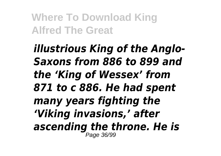*illustrious King of the Anglo-Saxons from 886 to 899 and the 'King of Wessex' from 871 to c 886. He had spent many years fighting the 'Viking invasions,' after ascending the throne. He is* Page 36/99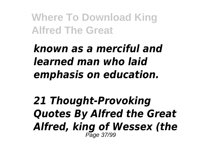*known as a merciful and learned man who laid emphasis on education.*

*21 Thought-Provoking Quotes By Alfred the Great Alfred, king of Wessex (the* Page 37/99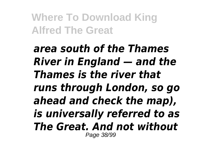*area south of the Thames River in England — and the Thames is the river that runs through London, so go ahead and check the map), is universally referred to as The Great. And not without* Page 38/99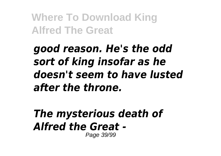*good reason. He's the odd sort of king insofar as he doesn't seem to have lusted after the throne.*

#### *The mysterious death of Alfred the Great -* Page 39/99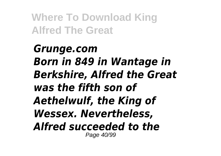*Grunge.com Born in 849 in Wantage in Berkshire, Alfred the Great was the fifth son of Aethelwulf, the King of Wessex. Nevertheless, Alfred succeeded to the* Page 40/99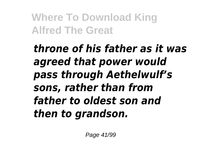*throne of his father as it was agreed that power would pass through Aethelwulf's sons, rather than from father to oldest son and then to grandson.*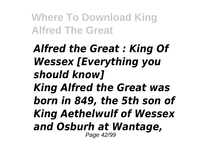*Alfred the Great : King Of Wessex [Everything you should know] King Alfred the Great was born in 849, the 5th son of King Aethelwulf of Wessex and Osburh at Wantage,* Page 42/99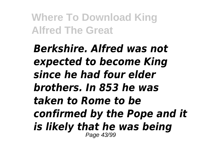*Berkshire. Alfred was not expected to become King since he had four elder brothers. In 853 he was taken to Rome to be confirmed by the Pope and it is likely that he was being* Page 43/99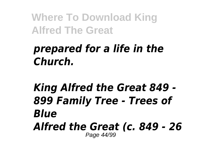## *prepared for a life in the Church.*

#### *King Alfred the Great 849 - 899 Family Tree - Trees of Blue Alfred the Great (c. 849 - 26* Page 44/99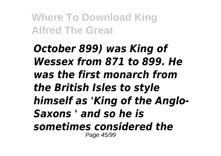*October 899) was King of Wessex from 871 to 899. He was the first monarch from the British Isles to style himself as 'King of the Anglo-Saxons ' and so he is sometimes considered the* Page 45/99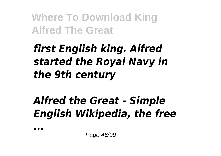## *first English king. Alfred started the Royal Navy in the 9th century*

# *Alfred the Great - Simple English Wikipedia, the free*

*...*

Page 46/99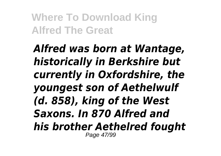*Alfred was born at Wantage, historically in Berkshire but currently in Oxfordshire, the youngest son of Aethelwulf (d. 858), king of the West Saxons. In 870 Alfred and his brother Aethelred fought* Page 47/99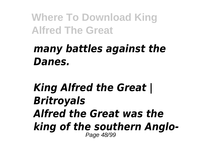## *many battles against the Danes.*

#### *King Alfred the Great | Britroyals Alfred the Great was the king of the southern Anglo-*Page 48/99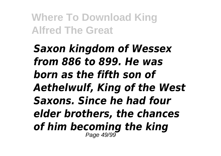*Saxon kingdom of Wessex from 886 to 899. He was born as the fifth son of Aethelwulf, King of the West Saxons. Since he had four elder brothers, the chances of him becoming the king* Page 49/99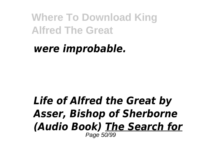### *were improbable.*

#### *Life of Alfred the Great by Asser, Bishop of Sherborne (Audio Book) The Search for* Page 50/99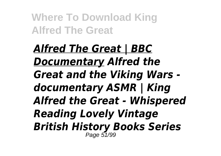*Alfred The Great | BBC Documentary Alfred the Great and the Viking Wars documentary ASMR | King Alfred the Great - Whispered Reading Lovely Vintage British History Books Series* Page 51/99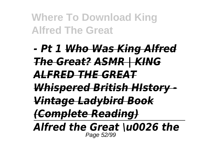## *- Pt 1 Who Was King Alfred The Great? ASMR | KING ALFRED THE GREAT Whispered British HIstory - Vintage Ladybird Book (Complete Reading) Alfred the Great \u0026 the*

Page 52/99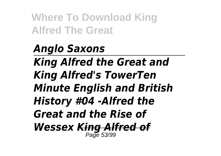*Anglo Saxons King Alfred the Great and King Alfred's TowerTen Minute English and British History #04 -Alfred the Great and the Rise of Wessex King Alfred of* Page 53/99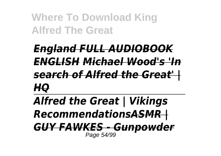# *England FULL AUDIOBOOK ENGLISH Michael Wood's 'In search of Alfred the Great' | HQ*

*Alfred the Great | Vikings RecommendationsASMR | GUY FAWKES - Gunpowder* Page 54/99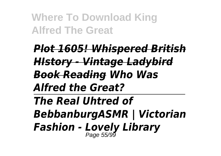*Plot 1605! Whispered British HIstory - Vintage Ladybird Book Reading Who Was Alfred the Great? The Real Uhtred of BebbanburgASMR | Victorian Fashion - Lovely Library* Page 55/99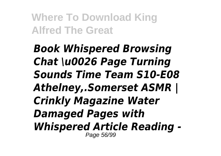*Book Whispered Browsing Chat \u0026 Page Turning Sounds Time Team S10-E08 Athelney,.Somerset ASMR | Crinkly Magazine Water Damaged Pages with Whispered Article Reading -* Page 56/99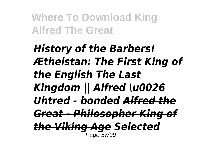*History of the Barbers! Æthelstan: The First King of the English The Last Kingdom || Alfred \u0026 Uhtred - bonded Alfred the Great - Philosopher King of the Viking Age Selected* Page 57/99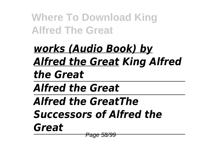*works (Audio Book) by Alfred the Great King Alfred the Great Alfred the Great Alfred the GreatThe Successors of Alfred the Great* Page 58/99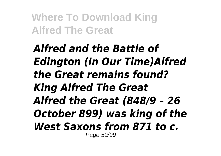*Alfred and the Battle of Edington (In Our Time)Alfred the Great remains found? King Alfred The Great Alfred the Great (848/9 – 26 October 899) was king of the West Saxons from 871 to c.* Page 59/99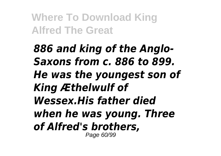*886 and king of the Anglo-Saxons from c. 886 to 899. He was the youngest son of King Æthelwulf of Wessex.His father died when he was young. Three of Alfred's brothers,* Page 60/99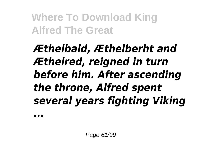# *Æthelbald, Æthelberht and Æthelred, reigned in turn before him. After ascending the throne, Alfred spent several years fighting Viking*

*...*

Page 61/99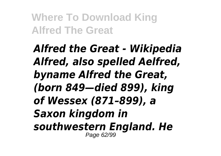*Alfred the Great - Wikipedia Alfred, also spelled Aelfred, byname Alfred the Great, (born 849—died 899), king of Wessex (871–899), a Saxon kingdom in southwestern England. He* Page 62/99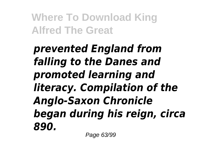*prevented England from falling to the Danes and promoted learning and literacy. Compilation of the Anglo-Saxon Chronicle began during his reign, circa 890.*

Page 63/99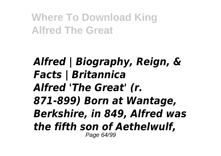*Alfred | Biography, Reign, & Facts | Britannica Alfred 'The Great' (r. 871-899) Born at Wantage, Berkshire, in 849, Alfred was the fifth son of Aethelwulf,* Page 64/99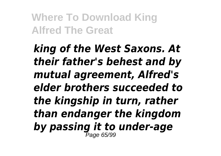*king of the West Saxons. At their father's behest and by mutual agreement, Alfred's elder brothers succeeded to the kingship in turn, rather than endanger the kingdom by passing it to under-age* Page 65/99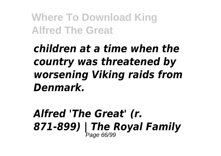*children at a time when the country was threatened by worsening Viking raids from Denmark.*

*Alfred 'The Great' (r. 871-899) | The Royal Family* Page 66/99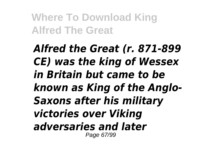*Alfred the Great (r. 871-899 CE) was the king of Wessex in Britain but came to be known as King of the Anglo-Saxons after his military victories over Viking adversaries and later* Page 67/99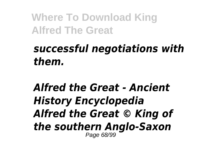## *successful negotiations with them.*

#### *Alfred the Great - Ancient History Encyclopedia Alfred the Great © King of the southern Anglo-Saxon* Page 68/99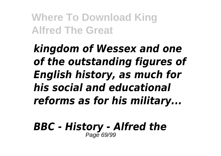*kingdom of Wessex and one of the outstanding figures of English history, as much for his social and educational reforms as for his military...*

*BBC - History - Alfred the* Page 69/99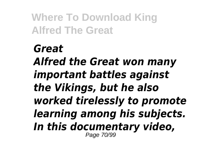*Great Alfred the Great won many important battles against the Vikings, but he also worked tirelessly to promote learning among his subjects. In this documentary video,* Page 70/99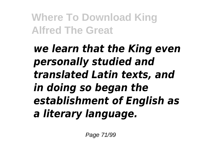*we learn that the King even personally studied and translated Latin texts, and in doing so began the establishment of English as a literary language.*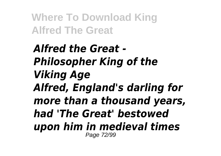*Alfred the Great - Philosopher King of the Viking Age Alfred, England's darling for more than a thousand years, had 'The Great' bestowed upon him in medieval times* Page 72/99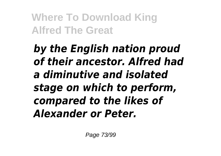*by the English nation proud of their ancestor. Alfred had a diminutive and isolated stage on which to perform, compared to the likes of Alexander or Peter.*

Page 73/99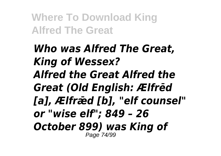*Who was Alfred The Great, King of Wessex? Alfred the Great Alfred the Great (Old English: Ælfrēd [a], Ælfrǣd [b], "elf counsel" or "wise elf"; 849 – 26 October 899) was King of* Page 74/99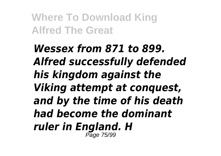*Wessex from 871 to 899. Alfred successfully defended his kingdom against the Viking attempt at conquest, and by the time of his death had become the dominant ruler in England. H* Page 75/99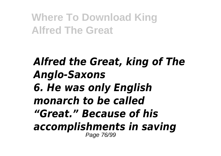### *Alfred the Great, king of The Anglo-Saxons 6. He was only English monarch to be called "Great." Because of his accomplishments in saving* Page 76/99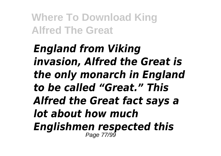*England from Viking invasion, Alfred the Great is the only monarch in England to be called "Great." This Alfred the Great fact says a lot about how much Englishmen respected this* Page 77/99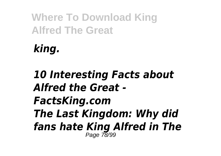*king.*

### *10 Interesting Facts about Alfred the Great - FactsKing.com The Last Kingdom: Why did fans hate King Alfred in The* Page 78/99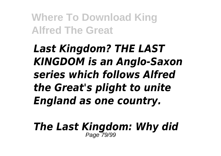*Last Kingdom? THE LAST KINGDOM is an Anglo-Saxon series which follows Alfred the Great's plight to unite England as one country.*

*The Last Kingdom: Why did* Page 79/99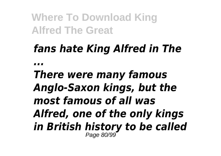# *fans hate King Alfred in The*

*...*

*There were many famous Anglo-Saxon kings, but the most famous of all was Alfred, one of the only kings in British history to be called* Page 80/99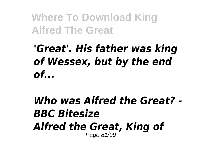# *'Great'. His father was king of Wessex, but by the end of...*

### *Who was Alfred the Great? - BBC Bitesize Alfred the Great, King of* Page 81/99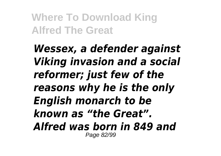*Wessex, a defender against Viking invasion and a social reformer; just few of the reasons why he is the only English monarch to be known as "the Great". Alfred was born in 849 and* Page 82/99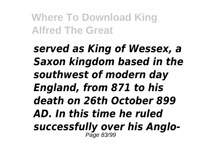*served as King of Wessex, a Saxon kingdom based in the southwest of modern day England, from 871 to his death on 26th October 899 AD. In this time he ruled successfully over his Anglo-*Page 83/99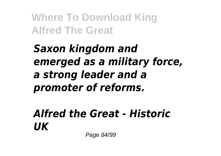## *Saxon kingdom and emerged as a military force, a strong leader and a promoter of reforms.*

### *Alfred the Great - Historic UK*

Page 84/99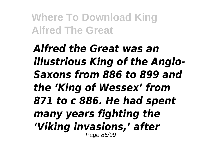*Alfred the Great was an illustrious King of the Anglo-Saxons from 886 to 899 and the 'King of Wessex' from 871 to c 886. He had spent many years fighting the 'Viking invasions,' after* Page 85/99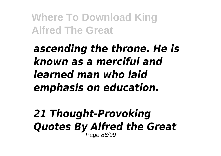## *ascending the throne. He is known as a merciful and learned man who laid emphasis on education.*

#### *21 Thought-Provoking Quotes By Alfred the Great* Page 86/99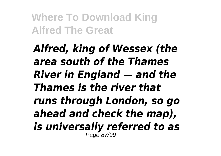*Alfred, king of Wessex (the area south of the Thames River in England — and the Thames is the river that runs through London, so go ahead and check the map), is universally referred to as* Page 87/99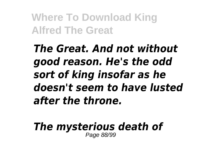*The Great. And not without good reason. He's the odd sort of king insofar as he doesn't seem to have lusted after the throne.*

*The mysterious death of* Page 88/99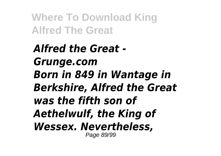*Alfred the Great - Grunge.com Born in 849 in Wantage in Berkshire, Alfred the Great was the fifth son of Aethelwulf, the King of Wessex. Nevertheless,* Page 89/99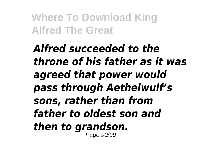*Alfred succeeded to the throne of his father as it was agreed that power would pass through Aethelwulf's sons, rather than from father to oldest son and then to grandson.* Page 90/99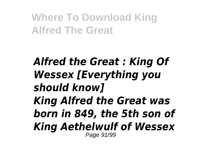### *Alfred the Great : King Of Wessex [Everything you should know] King Alfred the Great was born in 849, the 5th son of King Aethelwulf of Wessex* Page 91/99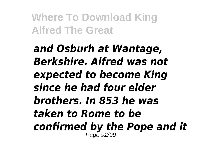*and Osburh at Wantage, Berkshire. Alfred was not expected to become King since he had four elder brothers. In 853 he was taken to Rome to be confirmed by the Pope and it* Page 92/99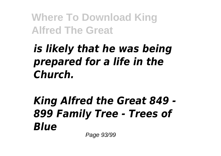# *is likely that he was being prepared for a life in the Church.*

### *King Alfred the Great 849 - 899 Family Tree - Trees of Blue* Page 93/99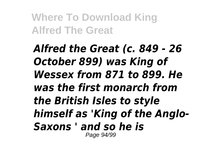*Alfred the Great (c. 849 - 26 October 899) was King of Wessex from 871 to 899. He was the first monarch from the British Isles to style himself as 'King of the Anglo-Saxons ' and so he is* Page 94/99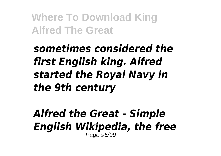## *sometimes considered the first English king. Alfred started the Royal Navy in the 9th century*

#### *Alfred the Great - Simple English Wikipedia, the free* Page 95/99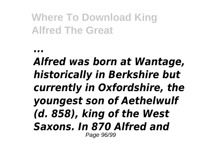*...*

### *Alfred was born at Wantage, historically in Berkshire but currently in Oxfordshire, the youngest son of Aethelwulf (d. 858), king of the West Saxons. In 870 Alfred and* Page 96/99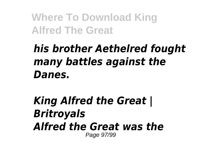# *his brother Aethelred fought many battles against the Danes.*

### *King Alfred the Great | Britroyals Alfred the Great was the* Page 97/99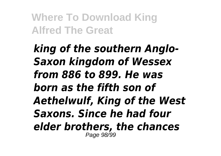*king of the southern Anglo-Saxon kingdom of Wessex from 886 to 899. He was born as the fifth son of Aethelwulf, King of the West Saxons. Since he had four elder brothers, the chances* Page 98/99